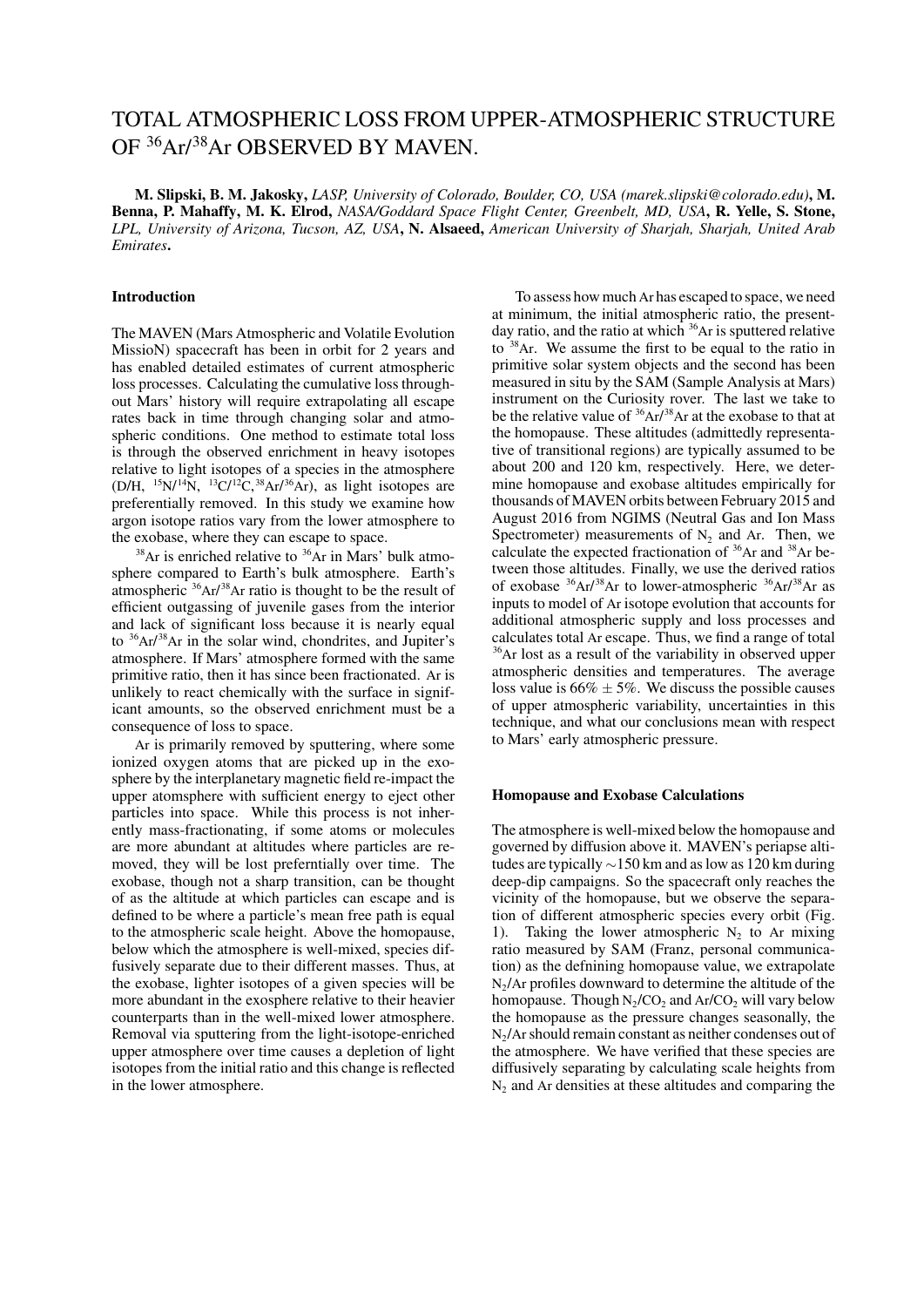# TOTAL ATMOSPHERIC LOSS FROM UPPER-ATMOSPHERIC STRUCTURE OF <sup>36</sup>Ar/<sup>38</sup>Ar OBSERVED BY MAVEN.

M. Slipski, B. M. Jakosky, *LASP, University of Colorado, Boulder, CO, USA (marek.slipski@colorado.edu)*, M. Benna, P. Mahaffy, M. K. Elrod, *NASA/Goddard Space Flight Center, Greenbelt, MD, USA*, R. Yelle, S. Stone, *LPL, University of Arizona, Tucson, AZ, USA*, N. Alsaeed, *American University of Sharjah, Sharjah, United Arab Emirates*.

## Introduction

The MAVEN (Mars Atmospheric and Volatile Evolution MissioN) spacecraft has been in orbit for 2 years and has enabled detailed estimates of current atmospheric loss processes. Calculating the cumulative loss throughout Mars' history will require extrapolating all escape rates back in time through changing solar and atmospheric conditions. One method to estimate total loss is through the observed enrichment in heavy isotopes relative to light isotopes of a species in the atmosphere  $(D/H, {}^{15}N/{}^{14}N, {}^{13}C/{}^{12}C, {}^{38}Ar/{}^{36}Ar)$ , as light isotopes are preferentially removed. In this study we examine how argon isotope ratios vary from the lower atmosphere to the exobase, where they can escape to space.

 $38$ Ar is enriched relative to  $36$ Ar in Mars' bulk atmosphere compared to Earth's bulk atmosphere. Earth's atmospheric <sup>36</sup>Ar/<sup>38</sup>Ar ratio is thought to be the result of efficient outgassing of juvenile gases from the interior and lack of significant loss because it is nearly equal to <sup>36</sup>Ar/<sup>38</sup>Ar in the solar wind, chondrites, and Jupiter's atmosphere. If Mars' atmosphere formed with the same primitive ratio, then it has since been fractionated. Ar is unlikely to react chemically with the surface in significant amounts, so the observed enrichment must be a consequence of loss to space.

Ar is primarily removed by sputtering, where some ionized oxygen atoms that are picked up in the exosphere by the interplanetary magnetic field re-impact the upper atomsphere with sufficient energy to eject other particles into space. While this process is not inherently mass-fractionating, if some atoms or molecules are more abundant at altitudes where particles are removed, they will be lost preferntially over time. The exobase, though not a sharp transition, can be thought of as the altitude at which particles can escape and is defined to be where a particle's mean free path is equal to the atmospheric scale height. Above the homopause, below which the atmosphere is well-mixed, species diffusively separate due to their different masses. Thus, at the exobase, lighter isotopes of a given species will be more abundant in the exosphere relative to their heavier counterparts than in the well-mixed lower atmosphere. Removal via sputtering from the light-isotope-enriched upper atmosphere over time causes a depletion of light isotopes from the initial ratio and this change is reflected in the lower atmosphere.

To assess how much Ar has escaped to space, we need at minimum, the initial atmospheric ratio, the presentday ratio, and the ratio at which <sup>36</sup>Ar is sputtered relative to  $38$ Ar. We assume the first to be equal to the ratio in primitive solar system objects and the second has been measured in situ by the SAM (Sample Analysis at Mars) instrument on the Curiosity rover. The last we take to be the relative value of  $36$ Ar/ $38$ Ar at the exobase to that at the homopause. These altitudes (admittedly representative of transitional regions) are typically assumed to be about 200 and 120 km, respectively. Here, we determine homopause and exobase altitudes empirically for thousands of MAVEN orbits between February 2015 and August 2016 from NGIMS (Neutral Gas and Ion Mass Spectrometer) measurements of  $N_2$  and Ar. Then, we calculate the expected fractionation of <sup>36</sup>Ar and <sup>38</sup>Ar between those altitudes. Finally, we use the derived ratios of exobase <sup>36</sup>Ar/<sup>38</sup>Ar to lower-atmospheric <sup>36</sup>Ar/<sup>38</sup>Ar as inputs to model of Ar isotope evolution that accounts for additional atmospheric supply and loss processes and calculates total Ar escape. Thus, we find a range of total <sup>36</sup>Ar lost as a result of the variability in observed upper atmospheric densities and temperatures. The average loss value is  $66\% \pm 5\%$ . We discuss the possible causes of upper atmospheric variability, uncertainties in this technique, and what our conclusions mean with respect to Mars' early atmospheric pressure.

### Homopause and Exobase Calculations

The atmosphere is well-mixed below the homopause and governed by diffusion above it. MAVEN's periapse altitudes are typically ∼150 km and as low as 120 km during deep-dip campaigns. So the spacecraft only reaches the vicinity of the homopause, but we observe the separation of different atmospheric species every orbit (Fig. 1). Taking the lower atmospheric  $N_2$  to Ar mixing ratio measured by SAM (Franz, personal communication) as the defnining homopause value, we extrapolate  $N_2/Ar$  profiles downward to determine the altitude of the homopause. Though  $N_2/CO_2$  and  $Ar/CO_2$  will vary below the homopause as the pressure changes seasonally, the  $N_2/Ar$  should remain constant as neither condenses out of the atmosphere. We have verified that these species are diffusively separating by calculating scale heights from  $N<sub>2</sub>$  and Ar densities at these altitudes and comparing the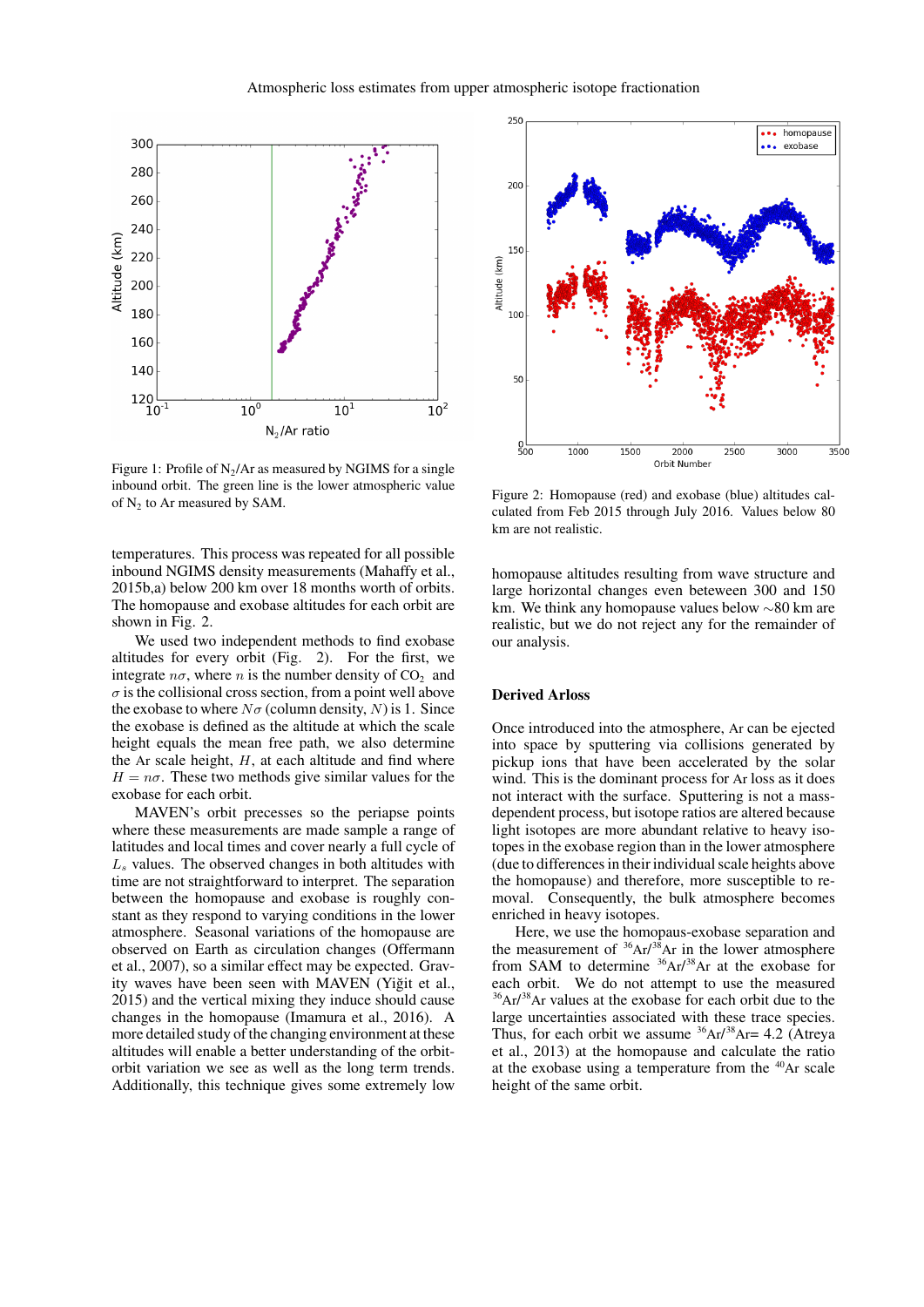

Figure 1: Profile of  $N_2/Ar$  as measured by NGIMS for a single inbound orbit. The green line is the lower atmospheric value of  $N_2$  to Ar measured by SAM.

temperatures. This process was repeated for all possible inbound NGIMS density measurements (Mahaffy et al., 2015b,a) below 200 km over 18 months worth of orbits. The homopause and exobase altitudes for each orbit are shown in Fig. 2.

We used two independent methods to find exobase altitudes for every orbit (Fig. 2). For the first, we integrate  $n\sigma$ , where n is the number density of CO<sub>2</sub> and  $\sigma$  is the collisional cross section, from a point well above the exobase to where  $N\sigma$  (column density, N) is 1. Since the exobase is defined as the altitude at which the scale height equals the mean free path, we also determine the Ar scale height,  $H$ , at each altitude and find where  $H = n\sigma$ . These two methods give similar values for the exobase for each orbit.

MAVEN's orbit precesses so the periapse points where these measurements are made sample a range of latitudes and local times and cover nearly a full cycle of  $L<sub>s</sub>$  values. The observed changes in both altitudes with time are not straightforward to interpret. The separation between the homopause and exobase is roughly constant as they respond to varying conditions in the lower atmosphere. Seasonal variations of the homopause are observed on Earth as circulation changes (Offermann et al., 2007), so a similar effect may be expected. Gravity waves have been seen with MAVEN (Yiğit et al., 2015) and the vertical mixing they induce should cause changes in the homopause (Imamura et al., 2016). A more detailed study of the changing environment at these altitudes will enable a better understanding of the orbitorbit variation we see as well as the long term trends. Additionally, this technique gives some extremely low



Figure 2: Homopause (red) and exobase (blue) altitudes calculated from Feb 2015 through July 2016. Values below 80 km are not realistic.

homopause altitudes resulting from wave structure and large horizontal changes even beteween 300 and 150 km. We think any homopause values below ∼80 km are realistic, but we do not reject any for the remainder of our analysis.

# Derived Arloss

Once introduced into the atmosphere, Ar can be ejected into space by sputtering via collisions generated by pickup ions that have been accelerated by the solar wind. This is the dominant process for Ar loss as it does not interact with the surface. Sputtering is not a massdependent process, but isotope ratios are altered because light isotopes are more abundant relative to heavy isotopes in the exobase region than in the lower atmosphere (due to differences in their individual scale heights above the homopause) and therefore, more susceptible to removal. Consequently, the bulk atmosphere becomes enriched in heavy isotopes.

Here, we use the homopaus-exobase separation and the measurement of  $36Ar/38Ar$  in the lower atmosphere from SAM to determine  $36Ar/38Ar$  at the exobase for each orbit. We do not attempt to use the measured  $36$ Ar/ $38$ Ar values at the exobase for each orbit due to the large uncertainties associated with these trace species. Thus, for each orbit we assume  ${}^{36}Ar/{}^{38}Ar = 4.2$  (Atreya et al., 2013) at the homopause and calculate the ratio at the exobase using a temperature from the  $40Ar$  scale height of the same orbit.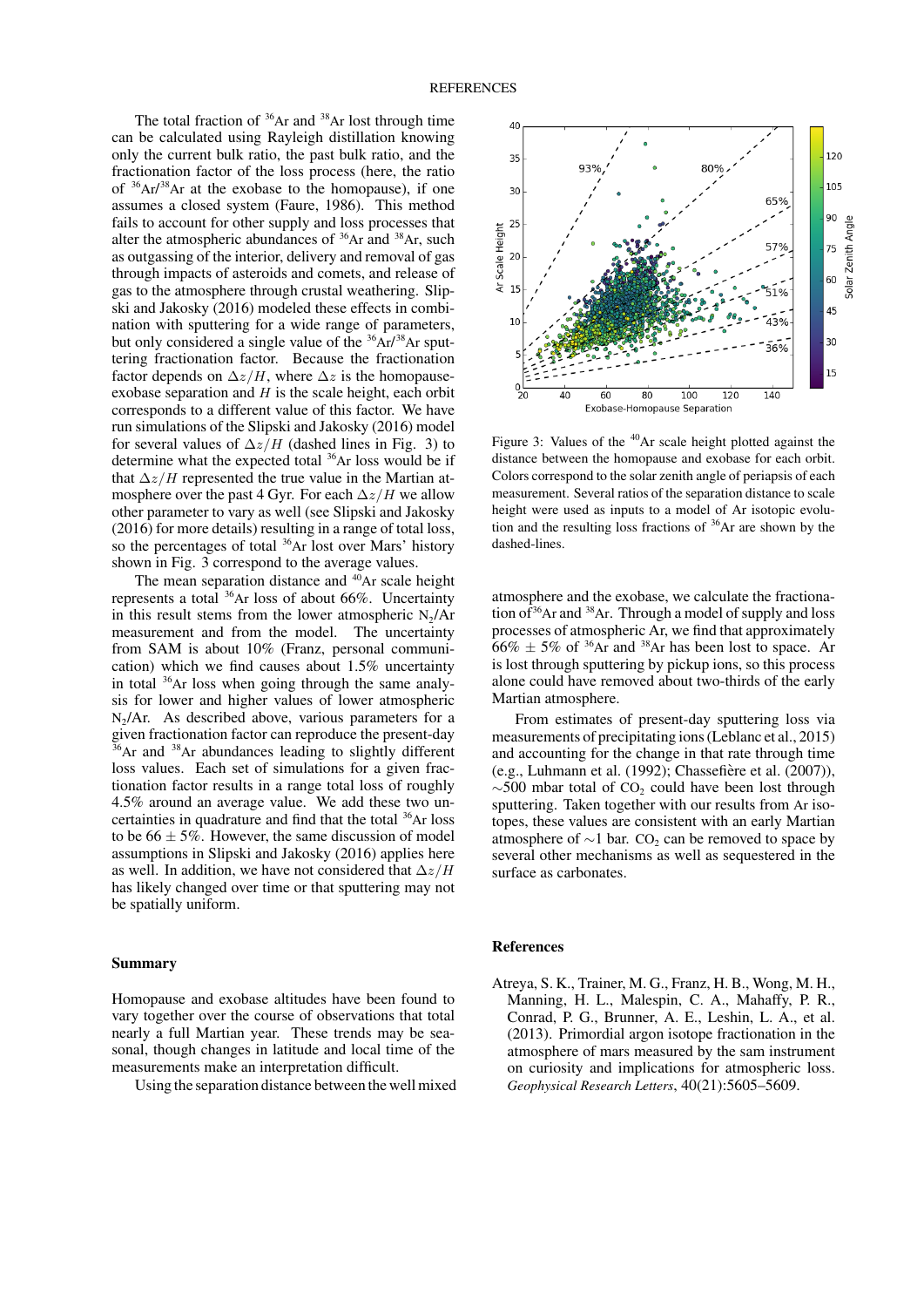The total fraction of  $36Ar$  and  $38Ar$  lost through time can be calculated using Rayleigh distillation knowing only the current bulk ratio, the past bulk ratio, and the fractionation factor of the loss process (here, the ratio of <sup>36</sup>Ar/ <sup>38</sup>Ar at the exobase to the homopause), if one assumes a closed system (Faure, 1986). This method fails to account for other supply and loss processes that alter the atmospheric abundances of  $36$ Ar and  $38$ Ar, such as outgassing of the interior, delivery and removal of gas through impacts of asteroids and comets, and release of gas to the atmosphere through crustal weathering. Slipski and Jakosky (2016) modeled these effects in combination with sputtering for a wide range of parameters, but only considered a single value of the  $36Ar^{38}Ar$  sputtering fractionation factor. Because the fractionation factor depends on  $\Delta z/H$ , where  $\Delta z$  is the homopauseexobase separation and  $H$  is the scale height, each orbit corresponds to a different value of this factor. We have run simulations of the Slipski and Jakosky (2016) model for several values of  $\Delta z/H$  (dashed lines in Fig. 3) to determine what the expected total <sup>36</sup>Ar loss would be if that  $\Delta z/H$  represented the true value in the Martian atmosphere over the past 4 Gyr. For each  $\Delta z/H$  we allow other parameter to vary as well (see Slipski and Jakosky (2016) for more details) resulting in a range of total loss, so the percentages of total <sup>36</sup>Ar lost over Mars' history shown in Fig. 3 correspond to the average values.

The mean separation distance and  $40Ar$  scale height represents a total <sup>36</sup>Ar loss of about 66%. Uncertainty in this result stems from the lower atmospheric  $N_2/Ar$ measurement and from the model. The uncertainty from SAM is about 10% (Franz, personal communication) which we find causes about 1.5% uncertainty in total <sup>36</sup>Ar loss when going through the same analysis for lower and higher values of lower atmospheric  $N_2/Ar$ . As described above, various parameters for a given fractionation factor can reproduce the present-day  $36$ Ar and  $38$ Ar abundances leading to slightly different loss values. Each set of simulations for a given fractionation factor results in a range total loss of roughly 4.5% around an average value. We add these two uncertainties in quadrature and find that the total <sup>36</sup>Ar loss to be  $66 \pm 5\%$ . However, the same discussion of model assumptions in Slipski and Jakosky (2016) applies here as well. In addition, we have not considered that  $\Delta z/H$ has likely changed over time or that sputtering may not be spatially uniform.

## Summary

Homopause and exobase altitudes have been found to vary together over the course of observations that total nearly a full Martian year. These trends may be seasonal, though changes in latitude and local time of the measurements make an interpretation difficult.

Using the separation distance between the well mixed



Figure 3: Values of the <sup>40</sup>Ar scale height plotted against the distance between the homopause and exobase for each orbit. Colors correspond to the solar zenith angle of periapsis of each measurement. Several ratios of the separation distance to scale height were used as inputs to a model of Ar isotopic evolution and the resulting loss fractions of  $36$ Ar are shown by the dashed-lines.

atmosphere and the exobase, we calculate the fractionation of  $36$ Ar and  $38$ Ar. Through a model of supply and loss processes of atmospheric Ar, we find that approximately  $66\% \pm 5\%$  of <sup>36</sup>Ar and <sup>38</sup>Ar has been lost to space. Ar is lost through sputtering by pickup ions, so this process alone could have removed about two-thirds of the early Martian atmosphere.

From estimates of present-day sputtering loss via measurements of precipitating ions (Leblanc et al., 2015) and accounting for the change in that rate through time (e.g., Luhmann et al. (1992); Chassefiere et al. (2007)), `  $\sim$ 500 mbar total of CO<sub>2</sub> could have been lost through sputtering. Taken together with our results from Ar isotopes, these values are consistent with an early Martian atmosphere of  $\sim$ 1 bar. CO<sub>2</sub> can be removed to space by several other mechanisms as well as sequestered in the surface as carbonates.

### References

Atreya, S. K., Trainer, M. G., Franz, H. B., Wong, M. H., Manning, H. L., Malespin, C. A., Mahaffy, P. R., Conrad, P. G., Brunner, A. E., Leshin, L. A., et al. (2013). Primordial argon isotope fractionation in the atmosphere of mars measured by the sam instrument on curiosity and implications for atmospheric loss. *Geophysical Research Letters*, 40(21):5605–5609.